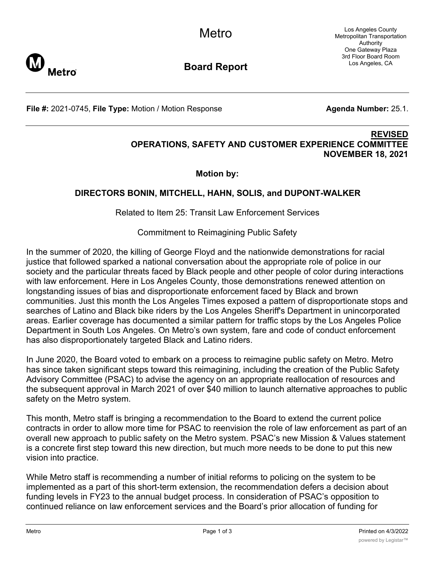Los Angeles County Metropolitan Transportation Authority One Gateway Plaza 3rd Floor Board Room Los Angeles, CA



**Board Report**

**File #:** 2021-0745, File Type: Motion / Motion Response **Agenda Number:** 25.1.

## **REVISED OPERATIONS, SAFETY AND CUSTOMER EXPERIENCE COMMITTEE NOVEMBER 18, 2021**

**Motion by:**

## **DIRECTORS BONIN, MITCHELL, HAHN, SOLIS, and DUPONT-WALKER**

Related to Item 25: Transit Law Enforcement Services

Commitment to Reimagining Public Safety

In the summer of 2020, the killing of George Floyd and the nationwide demonstrations for racial justice that followed sparked a national conversation about the appropriate role of police in our society and the particular threats faced by Black people and other people of color during interactions with law enforcement. Here in Los Angeles County, those demonstrations renewed attention on longstanding issues of bias and disproportionate enforcement faced by Black and brown communities. Just this month the Los Angeles Times exposed a pattern of disproportionate stops and searches of Latino and Black bike riders by the Los Angeles Sheriff's Department in unincorporated areas. Earlier coverage has documented a similar pattern for traffic stops by the Los Angeles Police Department in South Los Angeles. On Metro's own system, fare and code of conduct enforcement has also disproportionately targeted Black and Latino riders.

In June 2020, the Board voted to embark on a process to reimagine public safety on Metro. Metro has since taken significant steps toward this reimagining, including the creation of the Public Safety Advisory Committee (PSAC) to advise the agency on an appropriate reallocation of resources and the subsequent approval in March 2021 of over \$40 million to launch alternative approaches to public safety on the Metro system.

This month, Metro staff is bringing a recommendation to the Board to extend the current police contracts in order to allow more time for PSAC to reenvision the role of law enforcement as part of an overall new approach to public safety on the Metro system. PSAC's new Mission & Values statement is a concrete first step toward this new direction, but much more needs to be done to put this new vision into practice.

While Metro staff is recommending a number of initial reforms to policing on the system to be implemented as a part of this short-term extension, the recommendation defers a decision about funding levels in FY23 to the annual budget process. In consideration of PSAC's opposition to continued reliance on law enforcement services and the Board's prior allocation of funding for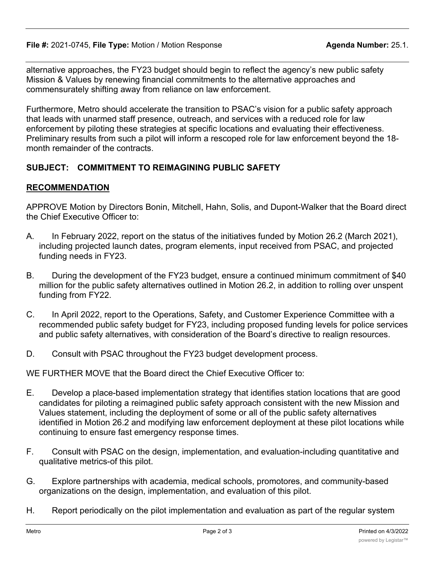alternative approaches, the FY23 budget should begin to reflect the agency's new public safety Mission & Values by renewing financial commitments to the alternative approaches and commensurately shifting away from reliance on law enforcement.

Furthermore, Metro should accelerate the transition to PSAC's vision for a public safety approach that leads with unarmed staff presence, outreach, and services with a reduced role for law enforcement by piloting these strategies at specific locations and evaluating their effectiveness. Preliminary results from such a pilot will inform a rescoped role for law enforcement beyond the 18 month remainder of the contracts.

## **SUBJECT: COMMITMENT TO REIMAGINING PUBLIC SAFETY**

## **RECOMMENDATION**

APPROVE Motion by Directors Bonin, Mitchell, Hahn, Solis, and Dupont-Walker that the Board direct the Chief Executive Officer to:

- A. In February 2022, report on the status of the initiatives funded by Motion 26.2 (March 2021), including projected launch dates, program elements, input received from PSAC, and projected funding needs in FY23.
- B. During the development of the FY23 budget, ensure a continued minimum commitment of \$40 million for the public safety alternatives outlined in Motion 26.2, in addition to rolling over unspent funding from FY22.
- C. In April 2022, report to the Operations, Safety, and Customer Experience Committee with a recommended public safety budget for FY23, including proposed funding levels for police services and public safety alternatives, with consideration of the Board's directive to realign resources.
- D. Consult with PSAC throughout the FY23 budget development process.

WE FURTHER MOVE that the Board direct the Chief Executive Officer to:

- E. Develop a place-based implementation strategy that identifies station locations that are good candidates for piloting a reimagined public safety approach consistent with the new Mission and Values statement, including the deployment of some or all of the public safety alternatives identified in Motion 26.2 and modifying law enforcement deployment at these pilot locations while continuing to ensure fast emergency response times.
- F. Consult with PSAC on the design, implementation, and evaluation-including quantitative and qualitative metrics-of this pilot.
- G. Explore partnerships with academia, medical schools, promotores, and community-based organizations on the design, implementation, and evaluation of this pilot.
- H. Report periodically on the pilot implementation and evaluation as part of the regular system